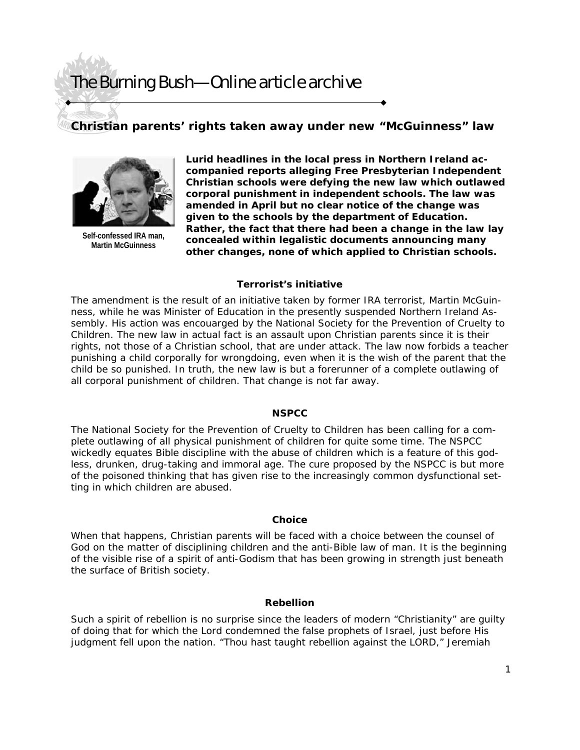## The Burning Bush—Online article archive

## **Christian parents' rights taken away under new "McGuinness" law**



**Self-confessed IRA man, Martin McGuinness** 

**Lurid headlines in the local press in Northern Ireland accompanied reports alleging Free Presbyterian Independent Christian schools were defying the new law which outlawed corporal punishment in independent schools. The law was amended in April but no clear notice of the change was given to the schools by the department of Education. Rather, the fact that there had been a change in the law lay concealed within legalistic documents announcing many other changes, none of which applied to Christian schools.** 

#### **Terrorist's initiative**

The amendment is the result of an initiative taken by former IRA terrorist, Martin McGuinness, while he was Minister of Education in the presently suspended Northern Ireland Assembly. His action was encouarged by the National Society for the Prevention of Cruelty to Children. The new law in actual fact is an assault upon Christian parents since it is their rights, not those of a Christian school, that are under attack. The law now forbids a teacher punishing a child corporally for wrongdoing, even when it is the wish of the parent that the child be so punished. In truth, the new law is but a forerunner of a complete outlawing of all corporal punishment of children. That change is not far away.

#### **NSPCC**

The National Society for the Prevention of Cruelty to Children has been calling for a complete outlawing of all physical punishment of children for quite some time. The NSPCC wickedly equates Bible discipline with the abuse of children which is a feature of this godless, drunken, drug-taking and immoral age. The cure proposed by the NSPCC is but more of the poisoned thinking that has given rise to the increasingly common dysfunctional setting in which children are abused.

#### **Choice**

When that happens, Christian parents will be faced with a choice between the counsel of God on the matter of disciplining children and the anti-Bible law of man. It is the beginning of the visible rise of a spirit of anti-Godism that has been growing in strength just beneath the surface of British society.

#### **Rebellion**

Such a spirit of rebellion is no surprise since the leaders of modern "Christianity" are guilty of doing that for which the Lord condemned the false prophets of Israel, just before His judgment fell upon the nation. "Thou hast taught rebellion against the LORD," Jeremiah